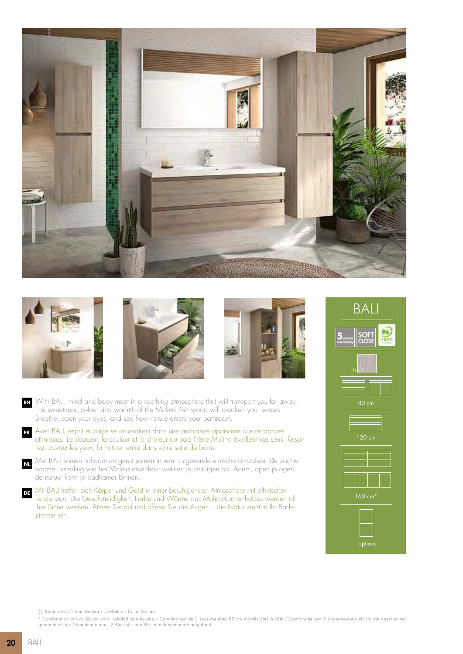







With BALI, mind and body meet in a soothing atmosphere that will transport you far away. **EN** The sweetness, colour and warmth of the Molina Ash wood will awaken your senses. Breathe, open your eyes, and see how nature enters your bathroom.

Avec BALI, esprit et corps se rencontrent dans une ambiance apaisante aux tendances ethniques. La douceur, la couleur et la chaleur du bois Frêne Molina éveillent vos sens. Respirez, ouvrez les yeux, la nature rentre dans votre salle de bains. **FR**

Met BALI komen lichaam en geest samen in een rustgevende etnische atmosfeer. De zachte warme uitstraling van het Molina essenhout wekken je zintuigen op. Adem, open je ogen, de natuur komt je badkamer binnen. **NL**

Mit BALI treffen sich Körper und Geist in einer beruhigenden Atmosphäre mit ethnischen Tendenzen. Die Geschmeidigkeit, Farbe und Wärme des Molina-Eschenholzes werden all Ihre Sinne wecken. Atmen Sie auf und öffnen Sie die Augen – die Natur zieht in Ihr Badezimmer ein. **DE**



(1) Molina Ash / Frêne Molina / Es Molina / Esche Molina

\* Combination of two 80 cm units installed side-by-side / Combinaison de 2 sous-meubles 80 cm montés côte à côte / Combinatie van 2 ondermeubels 80 cm die naast elkaar gemonteerd zijn / Kombination aus 2 Waschtischen 80 cm, nebeneinander aufgebaut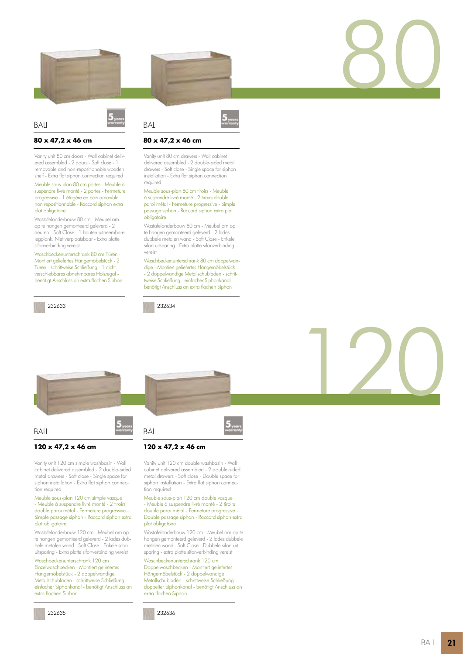

## **80 x 47,2 x 46 cm**

BALI

Vanity unit 80 cm doors - Wall cabinet delivered assembled - 2 doors - Soft close - 1 removable and non-repositionable wooden shelf - Extra flat siphon connection required

Meuble sous-plan 80 cm portes - Meuble à suspendre livré monté - 2 portes - Fermeture progressive - 1 étagère en bois amovible non repositionnable - Raccord siphon extra plat obligatoire

Wastafelonderbouw 80 cm - Meubel om op te hangen gemonteerd geleverd - 2 deuren - Soft Close - 1 houten uitneembare legplank. Niet verplaatsbaar - Extra platte sifonverbinding vereist

Waschbeckenunterschrank 80 cm Türen - Montiert geliefertes Hängemöbelstück - 2 Türen - schrittweise Schließung - 1 nicht verschiebbares abnehmbares Holzregal benötigt Anschluss an extra flachen Siphon

232633







# **80 x 47,2 x 46 cm**

Vanity unit 80 cm drawers - Wall cabinet delivered assembled - 2 double-sided metal drawers - Soft close - Single space for siphon installation - Extra flat siphon connection required

#### Meuble sous-plan 80 cm tiroirs - Meuble à suspendre livré monté - 2 tiroirs double paroi métal - Fermeture progressive - Simple passage siphon - Raccord siphon extra plat obligatoire

Wastafelonderbouw 80 cm - Meubel om op te hangen gemonteerd geleverd - 2 lades dubbele metalen wand - Soft Close - Enkele sifon uitsparing - Extra platte sifonverbinding vereist

Waschbeckenunterschrank 80 cm doppelwandige - Montiert geliefertes Hängemöbelstück - 2 doppelwandige Metallschubladen - schrittweise Schließung - einfacher Siphonkanal benötigt Anschluss an extra flachen Siphon

232634



80



### **120 x 47,2 x 46 cm**

Vanity unit 120 cm simple washbasin - Wall cabinet delivered assembled - 2 double-sided metal drawers - Soft close - Single space for siphon installation - Extra flat siphon connection required

Meuble sous-plan 120 cm simple vasque - Meuble à suspendre livré monté - 2 tiroirs double paroi métal - Fermeture progressive - Simple passage siphon - Raccord siphon extra plat obligatoire

Wastafelonderbouw 120 cm - Meubel om op te hangen gemonteerd geleverd - 2 lades dubbele metalen wand - Soft Close - Enkele sifon uitsparing - Extra platte sifonverbinding vereist

Waschbeckenunterschrank 120 cm Einzelwaschbecken - Montiert geliefertes Hängemöbelstück - 2 doppelwandige Metallschubladen - schrittweise Schließung einfacher Siphonkanal - benötigt Anschluss an extra flachen Siphon

232635





### **120 x 47,2 x 46 cm**

Vanity unit 120 cm double washbasin - Wall cabinet delivered assembled - 2 double-sided metal drawers - Soft close - Double space for siphon installation - Extra flat siphon connection required

Meuble sous-plan 120 cm double vasque - Meuble à suspendre livré monté - 2 tiroirs double paroi métal - Fermeture progressive - Double passage siphon - Raccord siphon extra plat obligatoire

Wastafelonderbouw 120 cm - Meubel om op te hangen gemonteerd geleverd - 2 lades dubbele metalen wand - Soft Close - Dubbele sifon-uitsparing - extra platte sifonverbinding vereist

Waschbeckenunterschrank 120 cm Doppelwaschbecken - Montiert geliefertes Hängemöbelstück - 2 doppelwandige Metallschubladen - schrittweise Schließung doppelter Siphonkanal - benötigt Anschluss an extra flachen Siphon

232636